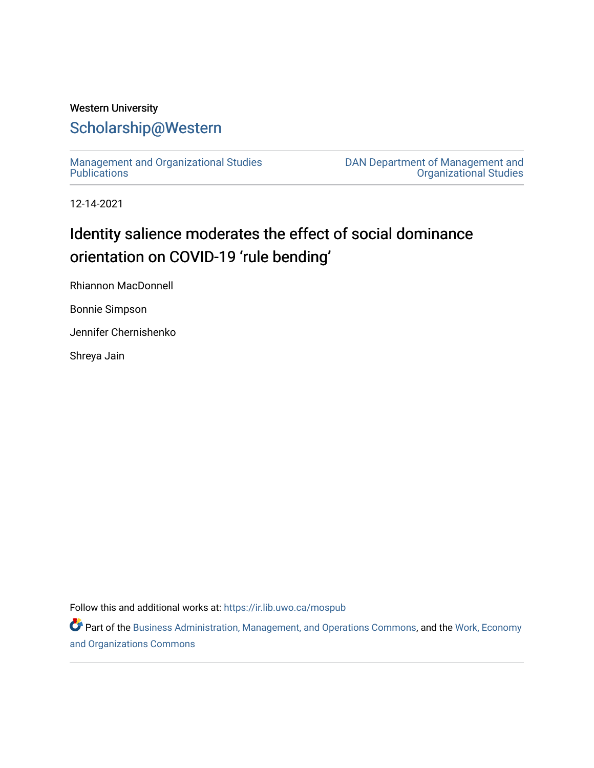# Western University [Scholarship@Western](https://ir.lib.uwo.ca/)

[Management and Organizational Studies](https://ir.lib.uwo.ca/mospub)  **Publications** 

[DAN Department of Management and](https://ir.lib.uwo.ca/mos)  [Organizational Studies](https://ir.lib.uwo.ca/mos) 

12-14-2021

# Identity salience moderates the effect of social dominance orientation on COVID-19 'rule bending'

Rhiannon MacDonnell

Bonnie Simpson

Jennifer Chernishenko

Shreya Jain

Follow this and additional works at: [https://ir.lib.uwo.ca/mospub](https://ir.lib.uwo.ca/mospub?utm_source=ir.lib.uwo.ca%2Fmospub%2F68&utm_medium=PDF&utm_campaign=PDFCoverPages) 

Part of the [Business Administration, Management, and Operations Commons](http://network.bepress.com/hgg/discipline/623?utm_source=ir.lib.uwo.ca%2Fmospub%2F68&utm_medium=PDF&utm_campaign=PDFCoverPages), and the Work, Economy [and Organizations Commons](http://network.bepress.com/hgg/discipline/433?utm_source=ir.lib.uwo.ca%2Fmospub%2F68&utm_medium=PDF&utm_campaign=PDFCoverPages)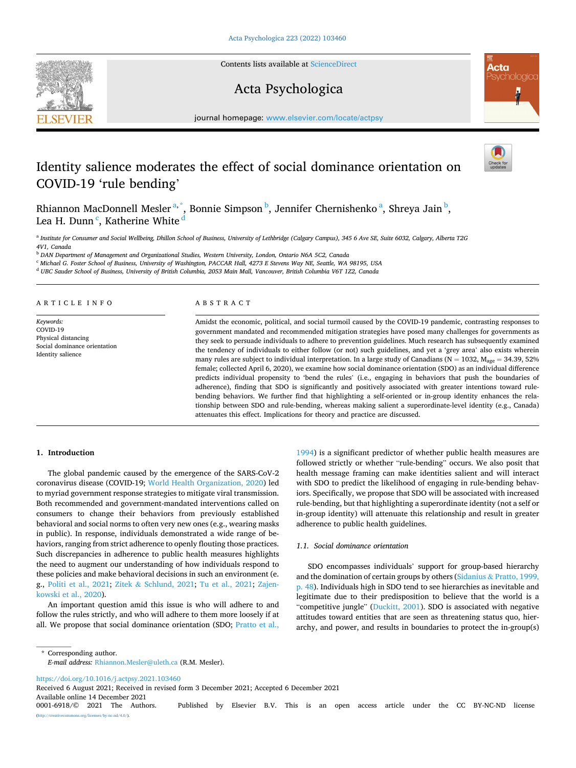

Contents lists available at [ScienceDirect](www.sciencedirect.com/science/journal/00016918)

# Acta Psychologica



journal homepage: [www.elsevier.com/locate/actpsy](https://www.elsevier.com/locate/actpsy)

# Identity salience moderates the effect of social dominance orientation on COVID-19 'rule bending'



Rhiannon MacDonnell Mesler<sup>a,\*</sup>, Bonnie Simpson <sup>b</sup>, Jennifer Chernishenko <sup>a</sup>, Shreya Jain <sup>b</sup>, Lea H. Dunn<sup>c</sup>, Katherine White <sup>d</sup>

<sup>a</sup> *Institute for Consumer and Social Wellbeing, Dhillon School of Business, University of Lethbridge (Calgary Campus), 345 6 Ave SE, Suite 6032, Calgary, Alberta T2G 4V1, Canada* 

<sup>b</sup> *DAN Department of Management and Organizational Studies, Western University, London, Ontario N6A 5C2, Canada* 

<sup>c</sup> *Michael G. Foster School of Business, University of Washington, PACCAR Hall, 4273 E Stevens Way NE, Seattle, WA 98195, USA* 

<sup>d</sup> *UBC Sauder School of Business, University of British Columbia, 2053 Main Mall, Vancouver, British Columbia V6T 1Z2, Canada* 

#### ARTICLE INFO

*Keywords:*  COVID-19 Physical distancing Social dominance orientation Identity salience

#### ABSTRACT

Amidst the economic, political, and social turmoil caused by the COVID-19 pandemic, contrasting responses to government mandated and recommended mitigation strategies have posed many challenges for governments as they seek to persuade individuals to adhere to prevention guidelines. Much research has subsequently examined the tendency of individuals to either follow (or not) such guidelines, and yet a 'grey area' also exists wherein many rules are subject to individual interpretation. In a large study of Canadians ( $N = 1032$ ,  $M_{\text{age}} = 34.39$ , 52% female; collected April 6, 2020), we examine how social dominance orientation (SDO) as an individual difference predicts individual propensity to 'bend the rules' (i.e., engaging in behaviors that push the boundaries of adherence), finding that SDO is significantly and positively associated with greater intentions toward rulebending behaviors. We further find that highlighting a self-oriented or in-group identity enhances the relationship between SDO and rule-bending, whereas making salient a superordinate-level identity (e.g., Canada) attenuates this effect. Implications for theory and practice are discussed.

# **1. Introduction**

The global pandemic caused by the emergence of the SARS-CoV-2 coronavirus disease (COVID-19; [World Health Organization, 2020](#page-6-0)) led to myriad government response strategies to mitigate viral transmission. Both recommended and government-mandated interventions called on consumers to change their behaviors from previously established behavioral and social norms to often very new ones (e.g., wearing masks in public). In response, individuals demonstrated a wide range of behaviors, ranging from strict adherence to openly flouting those practices. Such discrepancies in adherence to public health measures highlights the need to augment our understanding of how individuals respond to these policies and make behavioral decisions in such an environment (e. g., [Politi et al., 2021](#page-5-0); Zitek & [Schlund, 2021](#page-6-0); [Tu et al., 2021](#page-6-0); [Zajen](#page-6-0)[kowski et al., 2020\)](#page-6-0).

An important question amid this issue is who will adhere to and follow the rules strictly, and who will adhere to them more loosely if at all. We propose that social dominance orientation (SDO; [Pratto et al.,](#page-5-0) 

[1994\)](#page-5-0) is a significant predictor of whether public health measures are followed strictly or whether "rule-bending" occurs. We also posit that health message framing can make identities salient and will interact with SDO to predict the likelihood of engaging in rule-bending behaviors. Specifically, we propose that SDO will be associated with increased rule-bending, but that highlighting a superordinate identity (not a self or in-group identity) will attenuate this relationship and result in greater adherence to public health guidelines.

#### *1.1. Social dominance orientation*

SDO encompasses individuals' support for group-based hierarchy and the domination of certain groups by others (Sidanius & [Pratto, 1999,](#page-5-0)  [p. 48](#page-5-0)). Individuals high in SDO tend to see hierarchies as inevitable and legitimate due to their predisposition to believe that the world is a "competitive jungle" ([Duckitt, 2001\)](#page-5-0). SDO is associated with negative attitudes toward entities that are seen as threatening status quo, hierarchy, and power, and results in boundaries to protect the in-group(s)

\* Corresponding author. *E-mail address:* [Rhiannon.Mesler@uleth.ca](mailto:Rhiannon.Mesler@uleth.ca) (R.M. Mesler).

<https://doi.org/10.1016/j.actpsy.2021.103460>

Available online 14 December 2021<br>0001-6918/© 2021 The Authors. Received 6 August 2021; Received in revised form 3 December 2021; Accepted 6 December 2021

Published by Elsevier B.V. This is an open access article under the CC BY-NC-ND license  $\frac{\text{uses}}{\text{by-nc-nd}/4.0}$ .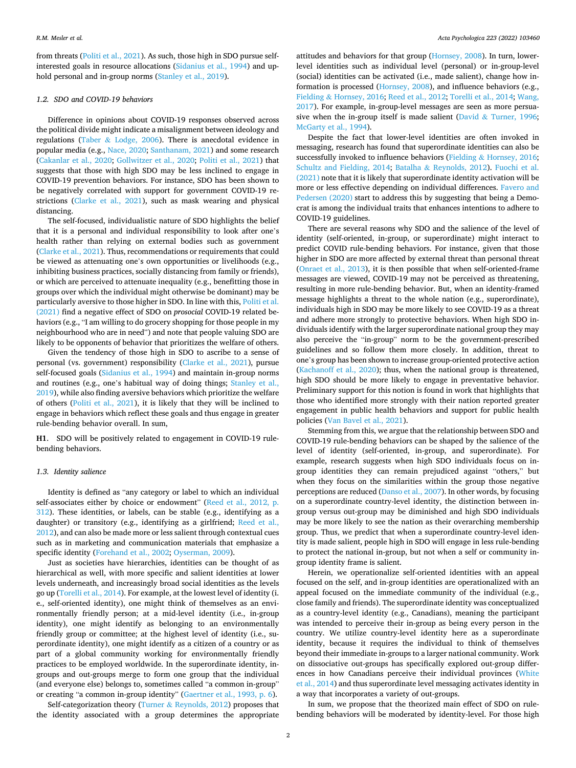from threats ([Politi et al., 2021\)](#page-5-0). As such, those high in SDO pursue selfinterested goals in resource allocations [\(Sidanius et al., 1994\)](#page-5-0) and uphold personal and in-group norms [\(Stanley et al., 2019\)](#page-5-0).

## *1.2. SDO and COVID-19 behaviors*

Difference in opinions about COVID-19 responses observed across the political divide might indicate a misalignment between ideology and regulations (Taber & [Lodge, 2006](#page-5-0)). There is anecdotal evidence in popular media (e.g., [Nace, 2020](#page-5-0); [Santhanam, 2021\)](#page-5-0) and some research ([Cakanlar et al., 2020;](#page-5-0) [Gollwitzer et al., 2020](#page-5-0); [Politi et al., 2021\)](#page-5-0) that suggests that those with high SDO may be less inclined to engage in COVID-19 prevention behaviors. For instance, SDO has been shown to be negatively correlated with support for government COVID-19 restrictions ([Clarke et al., 2021](#page-5-0)), such as mask wearing and physical distancing.

The self-focused, individualistic nature of SDO highlights the belief that it is a personal and individual responsibility to look after one's health rather than relying on external bodies such as government ([Clarke et al., 2021\)](#page-5-0). Thus, recommendations or requirements that could be viewed as attenuating one's own opportunities or livelihoods (e.g., inhibiting business practices, socially distancing from family or friends), or which are perceived to attenuate inequality (e.g., benefitting those in groups over which the individual might otherwise be dominant) may be particularly aversive to those higher in SDO. In line with this, [Politi et al.](#page-5-0)  [\(2021\)](#page-5-0) find a negative effect of SDO on *prosocial* COVID-19 related behaviors (e.g., "I am willing to do grocery shopping for those people in my neighbourhood who are in need") and note that people valuing SDO are likely to be opponents of behavior that prioritizes the welfare of others.

Given the tendency of those high in SDO to ascribe to a sense of personal (vs. government) responsibility ([Clarke et al., 2021\)](#page-5-0), pursue self-focused goals [\(Sidanius et al., 1994\)](#page-5-0) and maintain in-group norms and routines (e.g., one's habitual way of doing things; [Stanley et al.,](#page-5-0)  [2019\)](#page-5-0), while also finding aversive behaviors which prioritize the welfare of others ([Politi et al., 2021\)](#page-5-0), it is likely that they will be inclined to engage in behaviors which reflect these goals and thus engage in greater rule-bending behavior overall. In sum,

**H1**. SDO will be positively related to engagement in COVID-19 rulebending behaviors.

# *1.3. Identity salience*

Identity is defined as "any category or label to which an individual self-associates either by choice or endowment" ([Reed et al., 2012, p.](#page-5-0)  [312](#page-5-0)). These identities, or labels, can be stable (e.g., identifying as a daughter) or transitory (e.g., identifying as a girlfriend; [Reed et al.,](#page-5-0)  [2012\)](#page-5-0), and can also be made more or less salient through contextual cues such as in marketing and communication materials that emphasize a specific identity [\(Forehand et al., 2002](#page-5-0); [Oyserman, 2009\)](#page-5-0).

Just as societies have hierarchies, identities can be thought of as hierarchical as well, with more specific and salient identities at lower levels underneath, and increasingly broad social identities as the levels go up ([Torelli et al., 2014](#page-6-0)). For example, at the lowest level of identity (i. e., self-oriented identity), one might think of themselves as an environmentally friendly person; at a mid-level identity (i.e., in-group identity), one might identify as belonging to an environmentally friendly group or committee; at the highest level of identity (i.e., superordinate identity), one might identify as a citizen of a country or as part of a global community working for environmentally friendly practices to be employed worldwide. In the superordinate identity, ingroups and out-groups merge to form one group that the individual (and everyone else) belongs to, sometimes called "a common in-group" or creating "a common in-group identity" [\(Gaertner et al., 1993, p. 6\)](#page-5-0).

Self-categorization theory (Turner & [Reynolds, 2012\)](#page-6-0) proposes that the identity associated with a group determines the appropriate attitudes and behaviors for that group ([Hornsey, 2008](#page-5-0)). In turn, lowerlevel identities such as individual level (personal) or in-group-level (social) identities can be activated (i.e., made salient), change how information is processed [\(Hornsey, 2008](#page-5-0)), and influence behaviors (e.g., Fielding & [Hornsey, 2016](#page-5-0); [Reed et al., 2012](#page-5-0); [Torelli et al., 2014; Wang,](#page-6-0)  [2017\)](#page-6-0). For example, in-group-level messages are seen as more persuasive when the in-group itself is made salient (David  $&$  [Turner, 1996](#page-5-0); [McGarty et al., 1994\)](#page-5-0).

Despite the fact that lower-level identities are often invoked in messaging, research has found that superordinate identities can also be successfully invoked to influence behaviors (Fielding & [Hornsey, 2016](#page-5-0); [Schultz and Fielding, 2014;](#page-5-0) Batalha & [Reynolds, 2012\)](#page-5-0). [Fuochi et al.](#page-5-0)  [\(2021\)](#page-5-0) note that it is likely that superordinate identity activation will be more or less effective depending on individual differences. [Favero and](#page-5-0)  [Pedersen \(2020\)](#page-5-0) start to address this by suggesting that being a Democrat is among the individual traits that enhances intentions to adhere to COVID-19 guidelines.

There are several reasons why SDO and the salience of the level of identity (self-oriented, in-group, or superordinate) might interact to predict COVID rule-bending behaviors. For instance, given that those higher in SDO are more affected by external threat than personal threat ([Onraet et al., 2013\)](#page-5-0), it is then possible that when self-oriented-frame messages are viewed, COVID-19 may not be perceived as threatening, resulting in more rule-bending behavior. But, when an identity-framed message highlights a threat to the whole nation (e.g., superordinate), individuals high in SDO may be more likely to see COVID-19 as a threat and adhere more strongly to protective behaviors. When high SDO individuals identify with the larger superordinate national group they may also perceive the "in-group" norm to be the government-prescribed guidelines and so follow them more closely. In addition, threat to one's group has been shown to increase group-oriented protective action ([Kachanoff et al., 2020](#page-5-0)); thus, when the national group is threatened, high SDO should be more likely to engage in preventative behavior. Preliminary support for this notion is found in work that highlights that those who identified more strongly with their nation reported greater engagement in public health behaviors and support for public health policies ([Van Bavel et al., 2021](#page-6-0)).

Stemming from this, we argue that the relationship between SDO and COVID-19 rule-bending behaviors can be shaped by the salience of the level of identity (self-oriented, in-group, and superordinate). For example, research suggests when high SDO individuals focus on ingroup identities they can remain prejudiced against "others," but when they focus on the similarities within the group those negative perceptions are reduced ([Danso et al., 2007\)](#page-5-0). In other words, by focusing on a superordinate country-level identity, the distinction between ingroup versus out-group may be diminished and high SDO individuals may be more likely to see the nation as their overarching membership group. Thus, we predict that when a superordinate country-level identity is made salient, people high in SDO will engage in less rule-bending to protect the national in-group, but not when a self or community ingroup identity frame is salient.

Herein, we operationalize self-oriented identities with an appeal focused on the self, and in-group identities are operationalized with an appeal focused on the immediate community of the individual (e.g., close family and friends). The superordinate identity was conceptualized as a country-level identity (e.g., Canadians), meaning the participant was intended to perceive their in-group as being every person in the country. We utilize country-level identity here as a superordinate identity, because it requires the individual to think of themselves beyond their immediate in-groups to a larger national community. Work on dissociative out-groups has specifically explored out-group differences in how Canadians perceive their individual provinces ([White](#page-6-0)  [et al., 2014\)](#page-6-0) and thus superordinate level messaging activates identity in a way that incorporates a variety of out-groups.

In sum, we propose that the theorized main effect of SDO on rulebending behaviors will be moderated by identity-level. For those high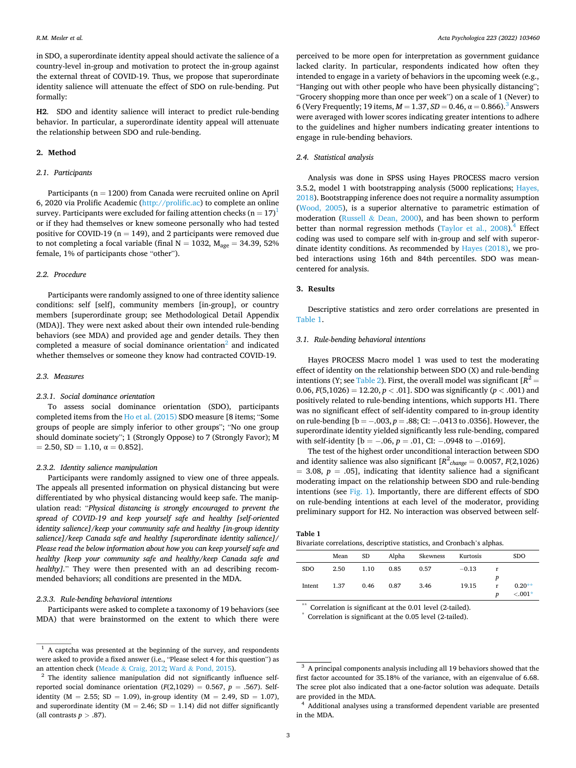in SDO, a superordinate identity appeal should activate the salience of a country-level in-group and motivation to protect the in-group against the external threat of COVID-19. Thus, we propose that superordinate identity salience will attenuate the effect of SDO on rule-bending. Put formally:

**H2**. SDO and identity salience will interact to predict rule-bending behavior. In particular, a superordinate identity appeal will attenuate the relationship between SDO and rule-bending.

#### **2. Method**

#### *2.1. Participants*

Participants ( $n = 1200$ ) from Canada were recruited online on April 6, 2020 via Prolific Academic [\(http://prolific.ac\)](http://prolific.ac) to complete an online survey. Participants were excluded for failing attention checks  $(n = 17)$ <sup>1</sup> or if they had themselves or knew someone personally who had tested positive for COVID-19 ( $n = 149$ ), and 2 participants were removed due to not completing a focal variable (final  $N = 1032$ ,  $M_{\text{age}} = 34.39$ , 52% female, 1% of participants chose "other").

# *2.2. Procedure*

Participants were randomly assigned to one of three identity salience conditions: self [self], community members [in-group], or country members [superordinate group; see Methodological Detail Appendix (MDA)]. They were next asked about their own intended rule-bending behaviors (see MDA) and provided age and gender details. They then completed a measure of social dominance orientation<sup>2</sup> and indicated whether themselves or someone they know had contracted COVID-19.

# *2.3. Measures*

#### *2.3.1. Social dominance orientation*

To assess social dominance orientation (SDO), participants completed items from the [Ho et al. \(2015\)](#page-5-0) SDO measure [8 items; "Some groups of people are simply inferior to other groups"; "No one group should dominate society"; 1 (Strongly Oppose) to 7 (Strongly Favor); M  $= 2.50, SD = 1.10, \alpha = 0.852$ .

#### *2.3.2. Identity salience manipulation*

Participants were randomly assigned to view one of three appeals. The appeals all presented information on physical distancing but were differentiated by who physical distancing would keep safe. The manipulation read: "*Physical distancing is strongly encouraged to prevent the spread of COVID-19 and keep yourself safe and healthy [self-oriented identity salience]/keep your community safe and healthy [in-group identity salience]/keep Canada safe and healthy [superordinate identity salience]/ Please read the below information about how you can keep yourself safe and healthy [keep your community safe and healthy/keep Canada safe and healthy*]." They were then presented with an ad describing recommended behaviors; all conditions are presented in the MDA.

# *2.3.3. Rule-bending behavioral intentions*

Participants were asked to complete a taxonomy of 19 behaviors (see MDA) that were brainstormed on the extent to which there were perceived to be more open for interpretation as government guidance lacked clarity. In particular, respondents indicated how often they intended to engage in a variety of behaviors in the upcoming week (e.g., "Hanging out with other people who have been physically distancing"; "Grocery shopping more than once per week") on a scale of 1 (Never) to 6 (Very Frequently; 19 items,  $M = 1.37$ ,  $SD = 0.46$ ,  $\alpha = 0.866$ ).<sup>3</sup> Answers were averaged with lower scores indicating greater intentions to adhere to the guidelines and higher numbers indicating greater intentions to engage in rule-bending behaviors.

# *2.4. Statistical analysis*

Analysis was done in SPSS using Hayes PROCESS macro version 3.5.2, model 1 with bootstrapping analysis (5000 replications; Hayes, [2018\)](#page-5-0). Bootstrapping inference does not require a normality assumption ([Wood, 2005](#page-6-0)), is a superior alternative to parametric estimation of moderation (Russell & [Dean, 2000\)](#page-5-0), and has been shown to perform better than normal regression methods (Taylor et al.,  $2008$ ).<sup>4</sup> Effect coding was used to compare self with in-group and self with superordinate identity conditions. As recommended by [Hayes \(2018\),](#page-5-0) we probed interactions using 16th and 84th percentiles. SDO was meancentered for analysis.

# **3. Results**

Descriptive statistics and zero order correlations are presented in Table 1.

#### *3.1. Rule-bending behavioral intentions*

Hayes PROCESS Macro model 1 was used to test the moderating effect of identity on the relationship between SDO (X) and rule-bending intentions (Y; see [Table 2](#page-4-0)). First, the overall model was significant  $[R^2 =$ 0.06,  $F(5,1026) = 12.20, p < .01$ . SDO was significantly ( $p < .001$ ) and positively related to rule-bending intentions, which supports H1. There was no significant effect of self-identity compared to in-group identity on rule-bending [b = − .003, *p* = .88; CI: − .0413 to .0356]. However, the superordinate identity yielded significantly less rule-bending, compared with self-identity [b = -.06, p = .01, CI: -.0948 to -.0169].

The test of the highest order unconditional interaction between SDO and identity salience was also significant  $[R^2_{change} = 0.0057, F(2,1026)$  $= 3.08, p = .05$ ], indicating that identity salience had a significant moderating impact on the relationship between SDO and rule-bending intentions (see [Fig. 1\)](#page-4-0). Importantly, there are different effects of SDO on rule-bending intentions at each level of the moderator, providing preliminary support for H2. No interaction was observed between self-

# **Table 1**

| Bivariate correlations, descriptive statistics, and Cronbach's alphas. |  |  |  |  |  |  |  |  |
|------------------------------------------------------------------------|--|--|--|--|--|--|--|--|
|------------------------------------------------------------------------|--|--|--|--|--|--|--|--|

|            | Mean | SD.  | Alpha | Skewness | Kurtosis |   | <b>SDO</b> |
|------------|------|------|-------|----------|----------|---|------------|
| <b>SDO</b> | 2.50 | 1.10 | 0.85  | 0.57     | $-0.13$  |   |            |
|            |      |      |       |          |          | p |            |
| Intent     | 1.37 | 0.46 | 0.87  | 3.46     | 19.15    | r | $0.20**$   |
|            |      |      |       |          |          | D | $< 0.01*$  |

 $*$  Correlation is significant at the 0.01 level (2-tailed). Correlation is significant at the 0.05 level (2-tailed).

 $1$  A captcha was presented at the beginning of the survey, and respondents were asked to provide a fixed answer (i.e., "Please select 4 for this question") as an attention check (Meade & Craig, 2012; Ward & Pond, 2015).

 $2$  The identity salience manipulation did not significantly influence selfreported social dominance orientation  $(F(2,1029) = 0.567, p = .567)$ . Selfidentity ( $M = 2.55$ ; SD = 1.09), in-group identity ( $M = 2.49$ , SD = 1.07), and superordinate identity ( $M = 2.46$ ; SD = 1.14) did not differ significantly (all contrasts  $p > .87$ ).

<sup>&</sup>lt;sup>3</sup> A principal components analysis including all 19 behaviors showed that the first factor accounted for 35.18% of the variance, with an eigenvalue of 6.68. The scree plot also indicated that a one-factor solution was adequate. Details are provided in the MDA.<br><sup>4</sup> Additional analyses using a transformed dependent variable are presented

in the MDA.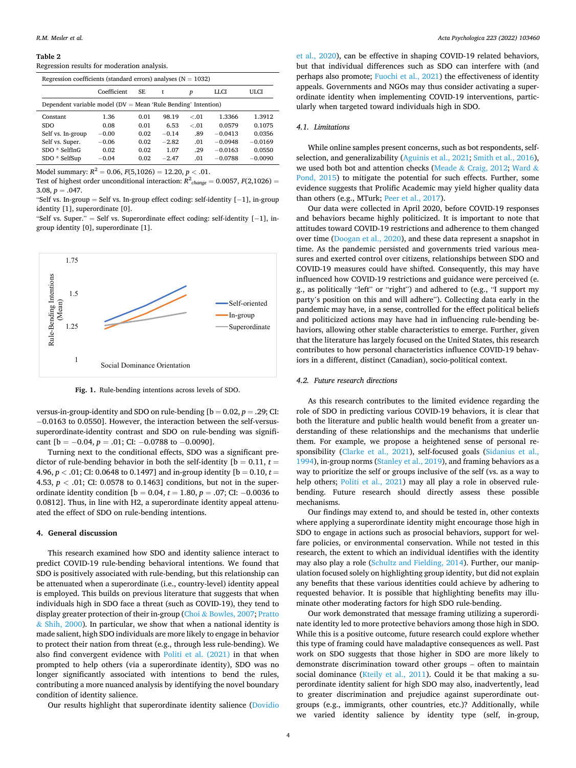#### <span id="page-4-0"></span>**Table 2**

Regression results for moderation analysis.

| Regression coefficients (standard errors) analyses ( $N = 1032$ ) |             |      |         |        |             |           |  |  |
|-------------------------------------------------------------------|-------------|------|---------|--------|-------------|-----------|--|--|
|                                                                   | Coefficient | SE.  | t       | p      | <b>LLCI</b> | ULCI      |  |  |
| Dependent variable model ( $DV = Mean$ 'Rule Bending' Intention)  |             |      |         |        |             |           |  |  |
| Constant                                                          | 1.36        | 0.01 | 98.19   | $-.01$ | 1.3366      | 1.3912    |  |  |
| <b>SDO</b>                                                        | 0.08        | 0.01 | 6.53    | $-.01$ | 0.0579      | 0.1075    |  |  |
| Self vs. In-group                                                 | $-0.00$     | 0.02 | $-0.14$ | .89    | $-0.0413$   | 0.0356    |  |  |
| Self vs. Super.                                                   | $-0.06$     | 0.02 | $-2.82$ | .01    | $-0.0948$   | $-0.0169$ |  |  |
| $SDO * SelfInG$                                                   | 0.02        | 0.02 | 1.07    | .29    | $-0.0163$   | 0.0550    |  |  |
| SDO * SelfSup                                                     | $-0.04$     | 0.02 | $-2.47$ | .01    | $-0.0788$   | $-0.0090$ |  |  |

Model summary:  $R^2 = 0.06$ ,  $F(5.1026) = 12.20$ ,  $p < .01$ .

Test of highest order unconditional interaction:  $R^2_{\cdot{\text{change}}} = 0.0057, F(2,1026) =$ 3.08,  $p = .047$ .

"Self vs. In-group = Self vs. In-group effect coding: self-identity [− 1], in-group identity [1], superordinate [0].

"Self vs. Super." = Self vs. Superordinate effect coding: self-identity  $[-1]$ , ingroup identity [0], superordinate [1].



**Fig. 1.** Rule-bending intentions across levels of SDO.

versus-in-group-identity and SDO on rule-bending  $[b = 0.02, p = .29; C1]$ : − 0.0163 to 0.0550]. However, the interaction between the self-versussuperordinate-identity contrast and SDO on rule-bending was significant  $[b = -0.04, p = .01;$  CI:  $-0.0788$  to  $-0.0090$ ].

Turning next to the conditional effects, SDO was a significant predictor of rule-bending behavior in both the self-identity  $[b = 0.11, t =$ 4.96,  $p < .01$ ; CI: 0.0648 to 0.1497] and in-group identity [b = 0.10,  $t =$ 4.53, *p <* .01; CI: 0.0578 to 0.1463] conditions, but not in the superordinate identity condition [b = 0.04, *t* = 1.80, *p* = .07; CI: − 0.0036 to 0.0812]. Thus, in line with H2, a superordinate identity appeal attenuated the effect of SDO on rule-bending intentions.

## **4. General discussion**

This research examined how SDO and identity salience interact to predict COVID-19 rule-bending behavioral intentions. We found that SDO is positively associated with rule-bending, but this relationship can be attenuated when a superordinate (i.e., country-level) identity appeal is employed. This builds on previous literature that suggests that when individuals high in SDO face a threat (such as COVID-19), they tend to display greater protection of their in-group (Choi & [Bowles, 2007](#page-5-0); [Pratto](#page-5-0)   $&$  [Shih, 2000](#page-5-0)). In particular, we show that when a national identity is made salient, high SDO individuals are more likely to engage in behavior to protect their nation from threat (e.g., through less rule-bending). We also find convergent evidence with [Politi et al. \(2021\)](#page-5-0) in that when prompted to help others (via a superordinate identity), SDO was no longer significantly associated with intentions to bend the rules, contributing a more nuanced analysis by identifying the novel boundary condition of identity salience.

Our results highlight that superordinate identity salience ([Dovidio](#page-5-0) 

[et al., 2020\)](#page-5-0), can be effective in shaping COVID-19 related behaviors, but that individual differences such as SDO can interfere with (and perhaps also promote; [Fuochi et al., 2021](#page-5-0)) the effectiveness of identity appeals. Governments and NGOs may thus consider activating a superordinate identity when implementing COVID-19 interventions, particularly when targeted toward individuals high in SDO.

#### *4.1. Limitations*

While online samples present concerns, such as bot respondents, selfselection, and generalizability [\(Aguinis et al., 2021; Smith et al., 2016](#page-5-0)), we used both bot and attention checks (Meade & [Craig, 2012](#page-5-0); [Ward](#page-6-0) & [Pond, 2015](#page-6-0)) to mitigate the potential for such effects. Further, some evidence suggests that Prolific Academic may yield higher quality data than others (e.g., MTurk; [Peer et al., 2017\)](#page-5-0).

Our data were collected in April 2020, before COVID-19 responses and behaviors became highly politicized. It is important to note that attitudes toward COVID-19 restrictions and adherence to them changed over time ([Doogan et al., 2020\)](#page-5-0), and these data represent a snapshot in time. As the pandemic persisted and governments tried various measures and exerted control over citizens, relationships between SDO and COVID-19 measures could have shifted. Consequently, this may have influenced how COVID-19 restrictions and guidance were perceived (e. g., as politically "left" or "right") and adhered to (e.g., "I support my party's position on this and will adhere"). Collecting data early in the pandemic may have, in a sense, controlled for the effect political beliefs and politicized actions may have had in influencing rule-bending behaviors, allowing other stable characteristics to emerge. Further, given that the literature has largely focused on the United States, this research contributes to how personal characteristics influence COVID-19 behaviors in a different, distinct (Canadian), socio-political context.

## *4.2. Future research directions*

As this research contributes to the limited evidence regarding the role of SDO in predicting various COVID-19 behaviors, it is clear that both the literature and public health would benefit from a greater understanding of these relationships and the mechanisms that underlie them. For example, we propose a heightened sense of personal responsibility [\(Clarke et al., 2021\)](#page-5-0), self-focused goals ([Sidanius et al.,](#page-5-0)  [1994\)](#page-5-0), in-group norms [\(Stanley et al., 2019](#page-5-0)), and framing behaviors as a way to prioritize the self or groups inclusive of the self (vs. as a way to help others; [Politi et al., 2021\)](#page-5-0) may all play a role in observed rulebending. Future research should directly assess these possible mechanisms.

Our findings may extend to, and should be tested in, other contexts where applying a superordinate identity might encourage those high in SDO to engage in actions such as prosocial behaviors, support for welfare policies, or environmental conservation. While not tested in this research, the extent to which an individual identifies with the identity may also play a role [\(Schultz and Fielding, 2014\)](#page-5-0). Further, our manipulation focused solely on highlighting group identity, but did not explain any benefits that these various identities could achieve by adhering to requested behavior. It is possible that highlighting benefits may illuminate other moderating factors for high SDO rule-bending.

Our work demonstrated that message framing utilizing a superordinate identity led to more protective behaviors among those high in SDO. While this is a positive outcome, future research could explore whether this type of framing could have maladaptive consequences as well. Past work on SDO suggests that those higher in SDO are more likely to demonstrate discrimination toward other groups – often to maintain social dominance ([Kteily et al., 2011\)](#page-5-0). Could it be that making a superordinate identity salient for high SDO may also, inadvertently, lead to greater discrimination and prejudice against superordinate outgroups (e.g., immigrants, other countries, etc.)? Additionally, while we varied identity salience by identity type (self, in-group,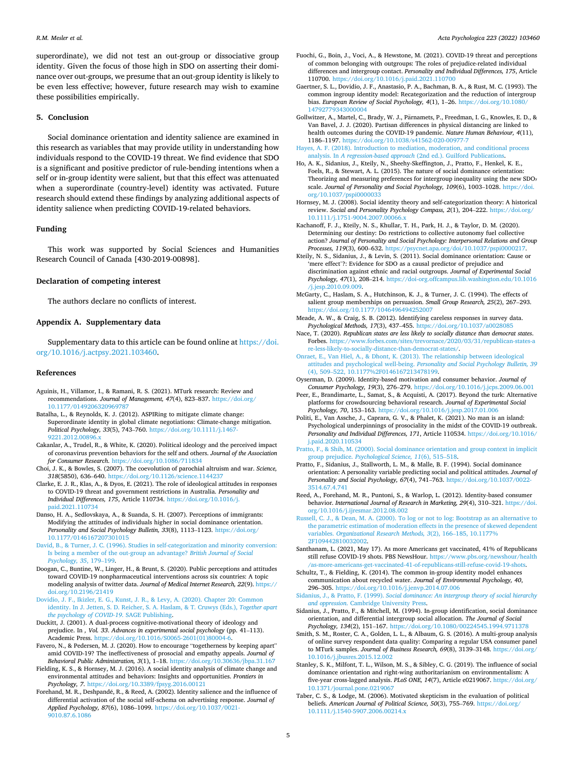#### <span id="page-5-0"></span>*R.M. Mesler et al.*

superordinate), we did not test an out-group or dissociative group identity. Given the focus of those high in SDO on asserting their dominance over out-groups, we presume that an out-group identity is likely to be even less effective; however, future research may wish to examine these possibilities empirically.

#### **5. Conclusion**

Social dominance orientation and identity salience are examined in this research as variables that may provide utility in understanding how individuals respond to the COVID-19 threat. We find evidence that SDO is a significant and positive predictor of rule-bending intentions when a self or in-group identity were salient, but that this effect was attenuated when a superordinate (country-level) identity was activated. Future research should extend these findings by analyzing additional aspects of identity salience when predicting COVID-19-related behaviors.

#### **Funding**

This work was supported by Social Sciences and Humanities Research Council of Canada [430-2019-00898].

#### **Declaration of competing interest**

The authors declare no conflicts of interest.

# **Appendix A. Supplementary data**

Supplementary data to this article can be found online at [https://doi.](https://doi.org/10.1016/j.actpsy.2021.103460)  [org/10.1016/j.actpsy.2021.103460](https://doi.org/10.1016/j.actpsy.2021.103460).

#### **References**

- Aguinis, H., Villamor, I., & Ramani, R. S. (2021). MTurk research: Review and recommendations. *Journal of Management, 47*(4), 823–837. [https://doi.org/](https://doi.org/10.1177/0149206320969787)  [10.1177/0149206320969787](https://doi.org/10.1177/0149206320969787)
- Batalha, L., & Reynolds, K. J. (2012). ASPIRing to mitigate climate change: Superordinate identity in global climate negotiations: Climate-change mitigation. *Political Psychology, 33*(5), 743–760. [https://doi.org/10.1111/j.1467-](https://doi.org/10.1111/j.1467-9221.2012.00896.x) 9221.2012.008
- Cakanlar, A., Trudel, R., & White, K. (2020). Political ideology and the perceived impact of coronavirus prevention behaviors for the self and others. *Journal of the Association for Consumer Research*. <https://doi.org/10.1086/711834>
- Choi, J. K., & Bowles, S. (2007). The coevolution of parochial altruism and war. *Science, 318*(5850), 636–640. <https://doi.org/10.1126/science.1144237>
- Clarke, E. J. R., Klas, A., & Dyos, E. (2021). The role of ideological attitudes in responses to COVID-19 threat and government restrictions in Australia. *Personality and Individual Differences, 175*, Article 110734. [https://doi.org/10.1016/j.](https://doi.org/10.1016/j.paid.2021.110734) [paid.2021.110734](https://doi.org/10.1016/j.paid.2021.110734)
- Danso, H. A., Sedlovskaya, A., & Suanda, S. H. (2007). Perceptions of immigrants: Modifying the attitudes of individuals higher in social dominance orientation. *Personality and Social Psychology Bulletin, 33*(8), 1113–1123. [https://doi.org/](https://doi.org/10.1177/0146167207301015)  [10.1177/0146167207301015](https://doi.org/10.1177/0146167207301015)
- [David, B., & Turner, J. C. \(1996\). Studies in self-categorization and minority conversion:](http://refhub.elsevier.com/S0001-6918(21)00210-9/rf202112132050130137)  [Is being a member of the out-group an advantage?](http://refhub.elsevier.com/S0001-6918(21)00210-9/rf202112132050130137) *British Journal of Social [Psychology, 35](http://refhub.elsevier.com/S0001-6918(21)00210-9/rf202112132050130137)*, 179–199.
- Doogan, C., Buntine, W., Linger, H., & Brunt, S. (2020). Public perceptions and attitudes toward COVID-19 nonpharmaceutical interventions across six countries: A topic modeling analysis of twitter data. *Journal of Medical Internet Research, 22*(9). [https://](https://doi.org/10.2196/21419)  [doi.org/10.2196/21419](https://doi.org/10.2196/21419)
- [Dovidio, J. F., Ikizler, E. G., Kunst, J. R., & Levy, A. \(2020\). Chapter 20: Common](http://refhub.elsevier.com/S0001-6918(21)00210-9/rf202112132048404342) [identity. In J. Jetten, S. D. Reicher, S. A. Haslam, & T. Cruwys \(Eds.\),](http://refhub.elsevier.com/S0001-6918(21)00210-9/rf202112132048404342) *Together apart [the psychology of COVID-19](http://refhub.elsevier.com/S0001-6918(21)00210-9/rf202112132048404342)*. SAGE Publishing.
- Duckitt, J. (2001). A dual-process cognitive-motivational theory of ideology and prejudice. In *, Vol. 33*. *Advances in experimental social psychology* (pp. 41–113). Academic Press. [https://doi.org/10.1016/S0065-2601\(01\)80004-6.](https://doi.org/10.1016/S0065-2601(01)80004-6)
- Favero, N., & Pedersen, M. J. (2020). How to encourage "togetherness by keeping apart" amid COVID-19? The ineffectiveness of prosocial and empathy appeals. *Journal of Behavioral Public Administration, 3*(1), 1–18. <https://doi.org/10.30636/jbpa.31.167>
- Fielding, K. S., & Hornsey, M. J. (2016). A social identity analysis of climate change and environmental attitudes and behaviors: Insights and opportunities. *Frontiers in Psychology, 7*.<https://doi.org/10.3389/fpsyg.2016.00121>
- Forehand, M. R., Deshpandé, R., & Reed, A. (2002). Identity salience and the influence of differential activation of the social self-schema on advertising response. *Journal of Applied Psychology, 87*(6), 1086–1099. [https://doi.org/10.1037/0021-](https://doi.org/10.1037/0021-9010.87.6.1086) [9010.87.6.1086](https://doi.org/10.1037/0021-9010.87.6.1086)
- Fuochi, G., Boin, J., Voci, A., & Hewstone, M. (2021). COVID-19 threat and perceptions of common belonging with outgroups: The roles of prejudice-related individual differences and intergroup contact. *Personality and Individual Differences, 175*, Article 110700. <https://doi.org/10.1016/j.paid.2021.110700>
- Gaertner, S. L., Dovidio, J. F., Anastasio, P. A., Bachman, B. A., & Rust, M. C. (1993). The common ingroup identity model: Recategorization and the reduction of intergroup bias. *European Review of Social Psychology, 4*(1), 1–26. [https://doi.org/10.1080/](https://doi.org/10.1080/14792779343000004) [14792779343000004](https://doi.org/10.1080/14792779343000004)

Gollwitzer, A., Martel, C., Brady, W. J., Parnamets, P., Freedman, I. G., Knowles, E. D., & Van Bavel, J. J. (2020). Partisan differences in physical distancing are linked to health outcomes during the COVID-19 pandemic. *Nature Human Behaviour, 4*(11), 1186–1197.<https://doi.org/10.1038/s41562-020-00977-7>

[Hayes, A. F. \(2018\). Introduction to mediation, moderation, and conditional process](http://refhub.elsevier.com/S0001-6918(21)00210-9/rf202112132043070192) analysis. In *A regression-based approach* (2nd ed.). Guilford Publication

- Ho, A. K., Sidanius, J., Kteily, N., Sheehy-Skeffington, J., Pratto, F., Henkel, K. E., Foels, R., & Stewart, A. L. (2015). The nature of social dominance orientation: Theorizing and measuring preferences for intergroup inequality using the new  $SDO_7$ scale. *Journal of Personality and Social Psychology, 109*(6), 1003–1028. [https://doi.](https://doi.org/10.1037/pspi0000033) [org/10.1037/pspi0000033](https://doi.org/10.1037/pspi0000033)
- Hornsey, M. J. (2008). Social identity theory and self-categorization theory: A historical review. *Social and Personality Psychology Compass, 2*(1), 204–222. [https://doi.org/](https://doi.org/10.1111/j.1751-9004.2007.00066.x) [10.1111/j.1751-9004.2007.00066.x](https://doi.org/10.1111/j.1751-9004.2007.00066.x)
- Kachanoff, F. J., Kteily, N. S., Khullar, T. H., Park, H. J., & Taylor, D. M. (2020). Determining our destiny: Do restrictions to collective autonomy fuel collective action? *Journal of Personality and Social Psychology: Interpersonal Relations and Group Processes, 119*(3), 600–632. <https://psycnet.apa.org/doi/10.1037/pspi0000217>.
- Kteily, N. S., Sidanius, J., & Levin, S. (2011). Social dominance orientation: Cause or 'mere effect'?: Evidence for SDO as a causal predictor of prejudice and discrimination against ethnic and racial outgroups. *Journal of Experimental Social Psychology, 47*(1), 208–214. [https://doi-org.offcampus.lib.washington.edu/10.1016](https://doi-org.offcampus.lib.washington.edu/10.1016/j.jesp.2010.09.009) [/j.jesp.2010.09.009](https://doi-org.offcampus.lib.washington.edu/10.1016/j.jesp.2010.09.009).
- McGarty, C., Haslam, S. A., Hutchinson, K. J., & Turner, J. C. (1994). The effects of salient group memberships on persuasion. *Small Group Research, 25*(2), 267–293. <https://doi.org/10.1177/1046496494252007>
- Meade, A. W., & Craig, S. B. (2012). Identifying careless responses in survey data. *Psychological Methods, 17*(3), 437–455. <https://doi.org/10.1037/a0028085>
- Nace, T. (2020). *Republican states are less likely to socially distance than democrat states*. Forbes. [https://www.forbes.com/sites/trevornace/2020/03/31/republican-states-a](https://www.forbes.com/sites/trevornace/2020/03/31/republican-states-are-less-likely-to-socially-distance-than-democrat-states/)  [re-less-likely-to-socially-distance-than-democrat-states/](https://www.forbes.com/sites/trevornace/2020/03/31/republican-states-are-less-likely-to-socially-distance-than-democrat-states/).
- [Onraet, E., Van Hiel, A., & Dhont, K. \(2013\). The relationship between ideological](http://refhub.elsevier.com/S0001-6918(21)00210-9/rf202112132044100422) attitudes and psychological well-being. *[Personality and Social Psychology Bulletin, 39](http://refhub.elsevier.com/S0001-6918(21)00210-9/rf202112132044100422)*  (4), 509–[522, 10.1177%2F0146167213478199.](http://refhub.elsevier.com/S0001-6918(21)00210-9/rf202112132044100422)
- Oyserman, D. (2009). Identity-based motivation and consumer behavior. *Journal of Consumer Psychology, 19*(3), 276–279.<https://doi.org/10.1016/j.jcps.2009.06.001>
- Peer, E., Brandimarte, L., Samat, S., & Acquisti, A. (2017). Beyond the turk: Alternative platforms for crowdsourcing behavioral research. *Journal of Experimental Social Psychology, 70*, 153–163.<https://doi.org/10.1016/j.jesp.2017.01.006>
- Politi, E., Van Assche, J., Caprara, G. V., & Phalet, K. (2021). No man is an island: Psychological underpinnings of prosociality in the midst of the COVID-19 outbreak. *Personality and Individual Differences, 171*, Article 110534. [https://doi.org/10.1016/](https://doi.org/10.1016/j.paid.2020.110534)  [j.paid.2020.110534](https://doi.org/10.1016/j.paid.2020.110534)
- [Pratto, F., & Shih, M. \(2000\). Social dominance orientation and group context in implicit](http://refhub.elsevier.com/S0001-6918(21)00210-9/rf202112132051155644)  group prejudice. *[Psychological Science, 11](http://refhub.elsevier.com/S0001-6918(21)00210-9/rf202112132051155644)*(6), 515–518.
- Pratto, F., Sidanius, J., Stallworth, L. M., & Malle, B. F. (1994). Social dominance orientation: A personality variable predicting social and political attitudes. *Journal of Personality and Social Psychology, 67*(4), 741–763. [https://doi.org/10.1037/0022-](https://doi.org/10.1037/0022-3514.67.4.741) [3514.67.4.741](https://doi.org/10.1037/0022-3514.67.4.741)
- Reed, A., Forehand, M. R., Puntoni, S., & Warlop, L. (2012). Identity-based consumer behavior. *International Journal of Research in Marketing, 29*(4), 310–321. [https://doi.](https://doi.org/10.1016/j.ijresmar.2012.08.002)  [org/10.1016/j.ijresmar.2012.08.002](https://doi.org/10.1016/j.ijresmar.2012.08.002)
- [Russell, C. J., & Dean, M. A. \(2000\). To log or not to log: Bootstrap as an alternative to](http://refhub.elsevier.com/S0001-6918(21)00210-9/rf202112132044018239)  [the parametric estimation of moderation effects in the presence of skewed dependent](http://refhub.elsevier.com/S0001-6918(21)00210-9/rf202112132044018239)  variables. *[Organizational Research Methods, 3](http://refhub.elsevier.com/S0001-6918(21)00210-9/rf202112132044018239)*(2), 166–185, 10.1177% [2F109442810032002](http://refhub.elsevier.com/S0001-6918(21)00210-9/rf202112132044018239).
- Santhanam, L. (2021, May 17). As more Americans get vaccinated, 41% of Republicans still refuse COVID-19 shots. PBS NewsHour. [https://www.pbs.org/newshour/health](https://www.pbs.org/newshour/health/as-more-americans-get-vaccinated-41-of-republicans-still-refuse-covid-19-shots)  [/as-more-americans-get-vaccinated-41-of-republicans-still-refuse-covid-19-shots](https://www.pbs.org/newshour/health/as-more-americans-get-vaccinated-41-of-republicans-still-refuse-covid-19-shots).
- Schultz, T., & Fielding, K. (2014). The common in-group identity model enhances communication about recycled water. *Journal of Environmental Psychology, 40*, 296–305. <https://doi.org/10.1016/j.jenvp.2014.07.006>
- Sidanius, J., & Pratto, F. (1999). *[Social dominance: An intergroup theory of social hierarchy](http://refhub.elsevier.com/S0001-6918(21)00210-9/rf202112132044168888)  and oppression*[. Cambridge University Press.](http://refhub.elsevier.com/S0001-6918(21)00210-9/rf202112132044168888)
- Sidanius, J., Pratto, F., & Mitchell, M. (1994). In-group identification, social dominance orientation, and differential intergroup social allocation. *The Journal of Social Psychology, 134*(2), 151–167.<https://doi.org/10.1080/00224545.1994.9711378>
- Smith, S. M., Roster, C. A., Golden, L. L., & Albaum, G. S. (2016). A multi-group analysis of online survey respondent data quality: Comparing a regular USA consumer panel to MTurk samples. *Journal of Business Research, 69*(8), 3139–3148. [https://doi.org/](https://doi.org/10.1016/j.jbusres.2015.12.002)  [10.1016/j.jbusres.2015.12.002](https://doi.org/10.1016/j.jbusres.2015.12.002)
- Stanley, S. K., Milfont, T. L., Wilson, M. S., & Sibley, C. G. (2019). The influence of social dominance orientation and right-wing authoritarianism on environmentalism: A five-year cross-lagged analysis. *PLoS ONE, 14*(7), Article e0219067. [https://doi.org/](https://doi.org/10.1371/journal.pone.0219067)  [10.1371/journal.pone.0219067](https://doi.org/10.1371/journal.pone.0219067)
- Taber, C. S., & Lodge, M. (2006). Motivated skepticism in the evaluation of political beliefs. *American Journal of Political Science, 50*(3), 755–769. [https://doi.org/](https://doi.org/10.1111/j.1540-5907.2006.00214.x)  [10.1111/j.1540-5907.2006.00214.x](https://doi.org/10.1111/j.1540-5907.2006.00214.x)